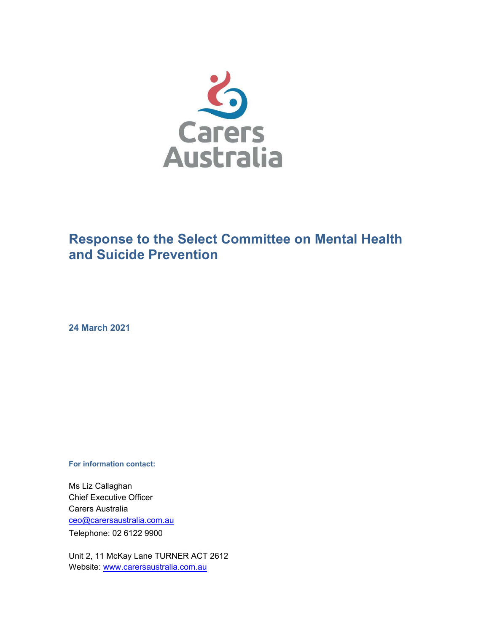

# Response to the Select Committee on Mental Health and Suicide Prevention

24 March 2021

For information contact:

Ms Liz Callaghan Chief Executive Officer Carers Australia ceo@carersaustralia.com.au Telephone: 02 6122 9900

Unit 2, 11 McKay Lane TURNER ACT 2612 Website: www.carersaustralia.com.au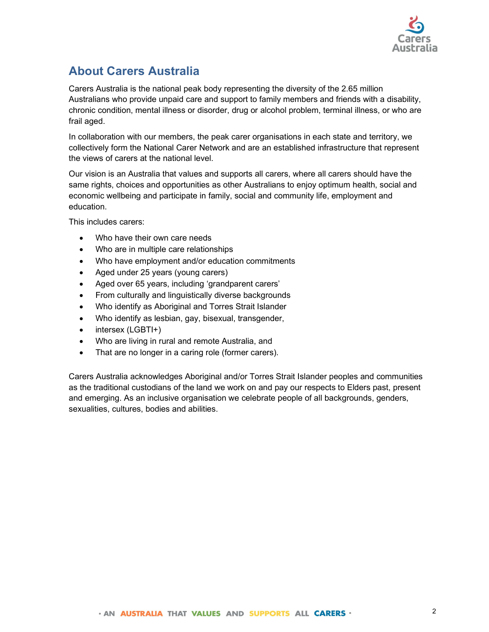

## About Carers Australia

Carers Australia is the national peak body representing the diversity of the 2.65 million Australians who provide unpaid care and support to family members and friends with a disability, chronic condition, mental illness or disorder, drug or alcohol problem, terminal illness, or who are frail aged.

In collaboration with our members, the peak carer organisations in each state and territory, we collectively form the National Carer Network and are an established infrastructure that represent the views of carers at the national level.

Our vision is an Australia that values and supports all carers, where all carers should have the same rights, choices and opportunities as other Australians to enjoy optimum health, social and economic wellbeing and participate in family, social and community life, employment and education.

This includes carers:

- Who have their own care needs
- Who are in multiple care relationships
- Who have employment and/or education commitments
- Aged under 25 years (young carers)
- Aged over 65 years, including 'grandparent carers'
- From culturally and linguistically diverse backgrounds
- Who identify as Aboriginal and Torres Strait Islander
- Who identify as lesbian, gay, bisexual, transgender,
- intersex (LGBTI+)
- Who are living in rural and remote Australia, and
- That are no longer in a caring role (former carers).

Carers Australia acknowledges Aboriginal and/or Torres Strait Islander peoples and communities as the traditional custodians of the land we work on and pay our respects to Elders past, present and emerging. As an inclusive organisation we celebrate people of all backgrounds, genders, sexualities, cultures, bodies and abilities.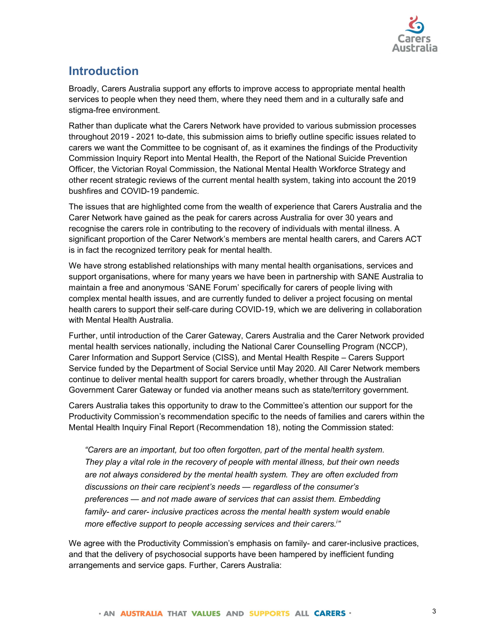

### **Introduction**

Broadly, Carers Australia support any efforts to improve access to appropriate mental health services to people when they need them, where they need them and in a culturally safe and stigma-free environment.

Rather than duplicate what the Carers Network have provided to various submission processes throughout 2019 - 2021 to-date, this submission aims to briefly outline specific issues related to carers we want the Committee to be cognisant of, as it examines the findings of the Productivity Commission Inquiry Report into Mental Health, the Report of the National Suicide Prevention Officer, the Victorian Royal Commission, the National Mental Health Workforce Strategy and other recent strategic reviews of the current mental health system, taking into account the 2019 bushfires and COVID-19 pandemic.

The issues that are highlighted come from the wealth of experience that Carers Australia and the Carer Network have gained as the peak for carers across Australia for over 30 years and recognise the carers role in contributing to the recovery of individuals with mental illness. A significant proportion of the Carer Network's members are mental health carers, and Carers ACT is in fact the recognized territory peak for mental health.

We have strong established relationships with many mental health organisations, services and support organisations, where for many years we have been in partnership with SANE Australia to maintain a free and anonymous 'SANE Forum' specifically for carers of people living with complex mental health issues, and are currently funded to deliver a project focusing on mental health carers to support their self-care during COVID-19, which we are delivering in collaboration with Mental Health Australia.

Further, until introduction of the Carer Gateway, Carers Australia and the Carer Network provided mental health services nationally, including the National Carer Counselling Program (NCCP), Carer Information and Support Service (CISS), and Mental Health Respite – Carers Support Service funded by the Department of Social Service until May 2020. All Carer Network members continue to deliver mental health support for carers broadly, whether through the Australian Government Carer Gateway or funded via another means such as state/territory government.

Carers Australia takes this opportunity to draw to the Committee's attention our support for the Productivity Commission's recommendation specific to the needs of families and carers within the Mental Health Inquiry Final Report (Recommendation 18), noting the Commission stated:

"Carers are an important, but too often forgotten, part of the mental health system. They play a vital role in the recovery of people with mental illness, but their own needs are not always considered by the mental health system. They are often excluded from discussions on their care recipient's needs — regardless of the consumer's preferences — and not made aware of services that can assist them. Embedding family- and carer- inclusive practices across the mental health system would enable more effective support to people accessing services and their carers.<sup>1</sup><br>We agree with the Productivity Commission's emphasis on family- and carer-inclusive practices,

and that the delivery of psychosocial supports have been hampered by inefficient funding arrangements and service gaps. Further, Carers Australia: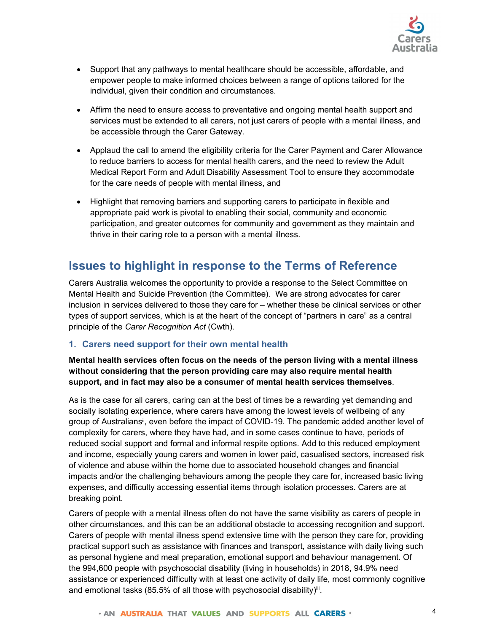

- Support that any pathways to mental healthcare should be accessible, affordable, and empower people to make informed choices between a range of options tailored for the individual, given their condition and circumstances.
- Affirm the need to ensure access to preventative and ongoing mental health support and services must be extended to all carers, not just carers of people with a mental illness, and be accessible through the Carer Gateway.
- Applaud the call to amend the eligibility criteria for the Carer Payment and Carer Allowance to reduce barriers to access for mental health carers, and the need to review the Adult Medical Report Form and Adult Disability Assessment Tool to ensure they accommodate for the care needs of people with mental illness, and
- Highlight that removing barriers and supporting carers to participate in flexible and appropriate paid work is pivotal to enabling their social, community and economic participation, and greater outcomes for community and government as they maintain and thrive in their caring role to a person with a mental illness.

## Issues to highlight in response to the Terms of Reference

Carers Australia welcomes the opportunity to provide a response to the Select Committee on Mental Health and Suicide Prevention (the Committee). We are strong advocates for carer inclusion in services delivered to those they care for – whether these be clinical services or other types of support services, which is at the heart of the concept of "partners in care" as a central principle of the Carer Recognition Act (Cwth).

#### 1. Carers need support for their own mental health

# Mental health services often focus on the needs of the person living with a mental illness without considering that the person providing care may also require mental health support, and in fact may also be a consumer of mental health services themselves.<br>As is the case for all carers, caring can at the best of times be a rewarding yet demanding and

socially isolating experience, where carers have among the lowest levels of wellbeing of any group of Australians<sup>i</sup>, even before the impact of COVID-19. The pandemic added another level of complexity for carers, where they have had, and in some cases continue to have, periods of reduced social support and formal and informal respite options. Add to this reduced employment and income, especially young carers and women in lower paid, casualised sectors, increased risk of violence and abuse within the home due to associated household changes and financial impacts and/or the challenging behaviours among the people they care for, increased basic living expenses, and difficulty accessing essential items through isolation processes. Carers are at breaking point.

Carers of people with a mental illness often do not have the same visibility as carers of people in other circumstances, and this can be an additional obstacle to accessing recognition and support. Carers of people with mental illness spend extensive time with the person they care for, providing practical support such as assistance with finances and transport, assistance with daily living such as personal hygiene and meal preparation, emotional support and behaviour management. Of the 994,600 people with psychosocial disability (living in households) in 2018, 94.9% need assistance or experienced difficulty with at least one activity of daily life, most commonly cognitive and emotional tasks (85.5% of all those with psychosocial disability) $\ddot{ }$ .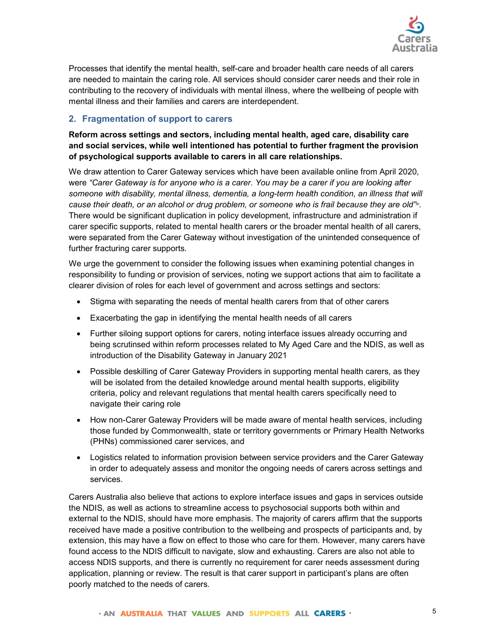

Processes that identify the mental health, self-care and broader health care needs of all carers are needed to maintain the caring role. All services should consider carer needs and their role in contributing to the recovery of individuals with mental illness, where the wellbeing of people with mental illness and their families and carers are interdependent.

#### 2. Fragmentation of support to carers

Reform across settings and sectors, including mental health, aged care, disability care and social services, while well intentioned has potential to further fragment the provision of psychological supports available to carers in all care relationships. We draw attention to Carer Gateway services which have been available online from April 2020,

were "Carer Gateway is for anyone who is a carer. You may be a carer if you are looking after someone with disability, mental illness, dementia, a long-term health condition, an illness that will cause their death, or an alcohol or drug problem, or someone who is frail because they are old"<sub>"</sub>. There would be significant duplication in policy development, infrastructure and administration if carer specific supports, related to mental health carers or the broader mental health of all carers, were separated from the Carer Gateway without investigation of the unintended consequence of further fracturing carer supports.

We urge the government to consider the following issues when examining potential changes in responsibility to funding or provision of services, noting we support actions that aim to facilitate a clearer division of roles for each level of government and across settings and sectors:

- Stigma with separating the needs of mental health carers from that of other carers
- Exacerbating the gap in identifying the mental health needs of all carers
- Further siloing support options for carers, noting interface issues already occurring and being scrutinsed within reform processes related to My Aged Care and the NDIS, as well as introduction of the Disability Gateway in January 2021
- Possible deskilling of Carer Gateway Providers in supporting mental health carers, as they will be isolated from the detailed knowledge around mental health supports, eligibility criteria, policy and relevant regulations that mental health carers specifically need to navigate their caring role
- How non-Carer Gateway Providers will be made aware of mental health services, including those funded by Commonwealth, state or territory governments or Primary Health Networks (PHNs) commissioned carer services, and
- Logistics related to information provision between service providers and the Carer Gateway in order to adequately assess and monitor the ongoing needs of carers across settings and services.

Carers Australia also believe that actions to explore interface issues and gaps in services outside the NDIS, as well as actions to streamline access to psychosocial supports both within and external to the NDIS, should have more emphasis. The majority of carers affirm that the supports received have made a positive contribution to the wellbeing and prospects of participants and, by extension, this may have a flow on effect to those who care for them. However, many carers have found access to the NDIS difficult to navigate, slow and exhausting. Carers are also not able to access NDIS supports, and there is currently no requirement for carer needs assessment during application, planning or review. The result is that carer support in participant's plans are often poorly matched to the needs of carers.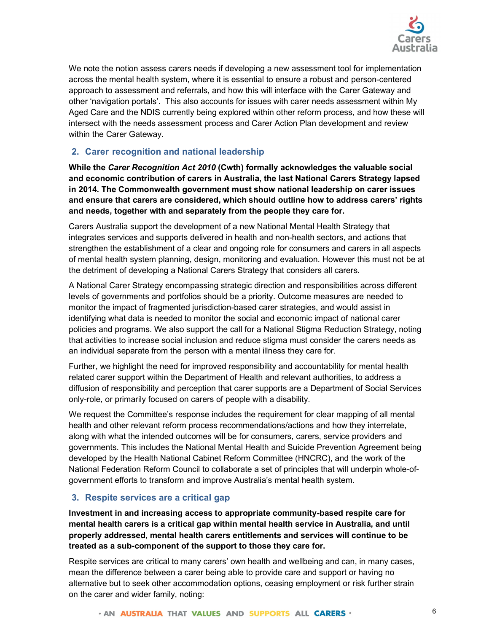

We note the notion assess carers needs if developing a new assessment tool for implementation across the mental health system, where it is essential to ensure a robust and person-centered approach to assessment and referrals, and how this will interface with the Carer Gateway and other 'navigation portals'. This also accounts for issues with carer needs assessment within My Aged Care and the NDIS currently being explored within other reform process, and how these will intersect with the needs assessment process and Carer Action Plan development and review within the Carer Gateway.

#### 2. Carer recognition and national leadership

While the Carer Recognition Act 2010 (Cwth) formally acknowledges the valuable social and economic contribution of carers in Australia, the last National Carers Strategy lapsed in 2014. The Commonwealth government must show national leadership on carer issues and ensure that carers are considered, which should outline how to address carers' rights and needs, together with and separately from the people they care for.

Carers Australia support the development of a new National Mental Health Strategy that integrates services and supports delivered in health and non-health sectors, and actions that strengthen the establishment of a clear and ongoing role for consumers and carers in all aspects of mental health system planning, design, monitoring and evaluation. However this must not be at the detriment of developing a National Carers Strategy that considers all carers.

A National Carer Strategy encompassing strategic direction and responsibilities across different levels of governments and portfolios should be a priority. Outcome measures are needed to monitor the impact of fragmented jurisdiction-based carer strategies, and would assist in identifying what data is needed to monitor the social and economic impact of national carer policies and programs. We also support the call for a National Stigma Reduction Strategy, noting that activities to increase social inclusion and reduce stigma must consider the carers needs as an individual separate from the person with a mental illness they care for.

Further, we highlight the need for improved responsibility and accountability for mental health related carer support within the Department of Health and relevant authorities, to address a diffusion of responsibility and perception that carer supports are a Department of Social Services only-role, or primarily focused on carers of people with a disability.

We request the Committee's response includes the requirement for clear mapping of all mental health and other relevant reform process recommendations/actions and how they interrelate, along with what the intended outcomes will be for consumers, carers, service providers and governments. This includes the National Mental Health and Suicide Prevention Agreement being developed by the Health National Cabinet Reform Committee (HNCRC), and the work of the National Federation Reform Council to collaborate a set of principles that will underpin whole-ofgovernment efforts to transform and improve Australia's mental health system.

#### 3. Respite services are a critical gap

Investment in and increasing access to appropriate community-based respite care for mental health carers is a critical gap within mental health service in Australia, and until properly addressed, mental health carers entitlements and services will continue to be treated as a sub-component of the support to those they care for.

Respite services are critical to many carers' own health and wellbeing and can, in many cases, mean the difference between a carer being able to provide care and support or having no alternative but to seek other accommodation options, ceasing employment or risk further strain on the carer and wider family, noting: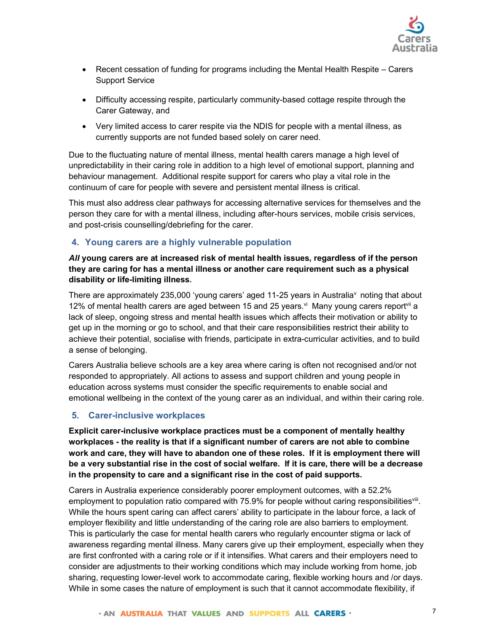

- Recent cessation of funding for programs including the Mental Health Respite Carers Support Service
- Difficulty accessing respite, particularly community-based cottage respite through the Carer Gateway, and
- Very limited access to carer respite via the NDIS for people with a mental illness, as currently supports are not funded based solely on carer need.

Due to the fluctuating nature of mental illness, mental health carers manage a high level of unpredictability in their caring role in addition to a high level of emotional support, planning and behaviour management. Additional respite support for carers who play a vital role in the continuum of care for people with severe and persistent mental illness is critical.

This must also address clear pathways for accessing alternative services for themselves and the person they care for with a mental illness, including after-hours services, mobile crisis services, and post-crisis counselling/debriefing for the carer.

#### 4. Young carers are a highly vulnerable population

## All young carers are at increased risk of mental health issues, regardless of if the person they are caring for has a mental illness or another care requirement such as a physical disability or life-limiting illness.<br>There are approximately 235,000 'young carers' aged 11-25 years in Australia<sup>v</sup> noting that about

12% of mental health carers are aged between 15 and 25 years.  $\dot{v}$  Many young carers report<sup> $\dot{v}$ </sup> a lack of sleep, ongoing stress and mental health issues which affects their motivation or ability to get up in the morning or go to school, and that their care responsibilities restrict their ability to achieve their potential, socialise with friends, participate in extra-curricular activities, and to build a sense of belonging.

Carers Australia believe schools are a key area where caring is often not recognised and/or not responded to appropriately. All actions to assess and support children and young people in education across systems must consider the specific requirements to enable social and emotional wellbeing in the context of the young carer as an individual, and within their caring role.

#### 5. Carer-inclusive workplaces

Explicit carer-inclusive workplace practices must be a component of mentally healthy workplaces - the reality is that if a significant number of carers are not able to combine work and care, they will have to abandon one of these roles. If it is employment there will be a very substantial rise in the cost of social welfare. If it is care, there will be a decrease in the propensity to care and a significant rise in the cost of paid supports.

Carers in Australia experience considerably poorer employment outcomes, with a 52.2% employment to population ratio compared with 75.9% for people without caring responsibilities<sup>viii</sup>.<br>While the hours spent caring can affect carers' ability to participate in the labour force, a lack of employer flexibility and little understanding of the caring role are also barriers to employment. This is particularly the case for mental health carers who regularly encounter stigma or lack of awareness regarding mental illness. Many carers give up their employment, especially when they are first confronted with a caring role or if it intensifies. What carers and their employers need to consider are adjustments to their working conditions which may include working from home, job sharing, requesting lower-level work to accommodate caring, flexible working hours and /or days. While in some cases the nature of employment is such that it cannot accommodate flexibility, if